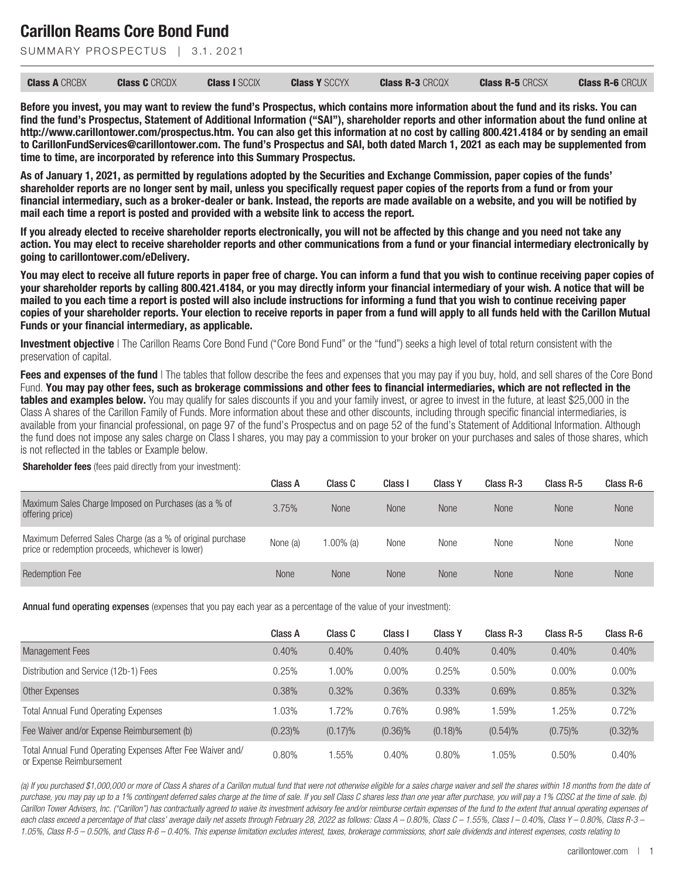SUMMARY PROSPECTUS | 3.1, 2021

| <b>Class A CRCBX</b> | <b>Class C</b> CRCDX | <b>Class I SCCIX</b> | <b>Class Y SCCYX</b> | <b>Class R-3 CRCQX</b> | <b>Class R-5 CRCSX</b> | <b>Class R-6 CRCUX</b> |
|----------------------|----------------------|----------------------|----------------------|------------------------|------------------------|------------------------|
|----------------------|----------------------|----------------------|----------------------|------------------------|------------------------|------------------------|

**Before you invest, you may want to review the fund's Prospectus, which contains more information about the fund and its risks. You can find the fund's Prospectus, Statement of Additional Information ("SAI"), shareholder reports and other information about the fund online at http://www.carillontower.com/prospectus.htm. You can also get this information at no cost by calling 800.421.4184 or by sending an email to CarillonFundServices@carillontower.com. The fund's Prospectus and SAI, both dated March 1, 2021 as each may be supplemented from time to time, are incorporated by reference into this Summary Prospectus.**

**As of January 1, 2021, as permitted by regulations adopted by the Securities and Exchange Commission, paper copies of the funds' shareholder reports are no longer sent by mail, unless you specifically request paper copies of the reports from a fund or from your financial intermediary, such as a broker-dealer or bank. Instead, the reports are made available on a website, and you will be notified by mail each time a report is posted and provided with a website link to access the report.**

**If you already elected to receive shareholder reports electronically, you will not be affected by this change and you need not take any action. You may elect to receive shareholder reports and other communications from a fund or your financial intermediary electronically by going to carillontower.com/eDelivery.**

**You may elect to receive all future reports in paper free of charge. You can inform a fund that you wish to continue receiving paper copies of your shareholder reports by calling 800.421.4184, or you may directly inform your financial intermediary of your wish. A notice that will be mailed to you each time a report is posted will also include instructions for informing a fund that you wish to continue receiving paper copies of your shareholder reports. Your election to receive reports in paper from a fund will apply to all funds held with the Carillon Mutual Funds or your financial intermediary, as applicable.**

**Investment objective** | The Carillon Reams Core Bond Fund ("Core Bond Fund" or the "fund") seeks a high level of total return consistent with the preservation of capital.

**Fees and expenses of the fund** I The tables that follow describe the fees and expenses that you may pay if you buy, hold, and sell shares of the Core Bond Fund. **You may pay other fees, such as brokerage commissions and other fees to financial intermediaries, which are not reflected in the tables and examples below.** You may qualify for sales discounts if you and your family invest, or agree to invest in the future, at least \$25,000 in the Class A shares of the Carillon Family of Funds. More information about these and other discounts, including through specific financial intermediaries, is available from your financial professional, on page 97 of the fund's Prospectus and on page 52 of the fund's Statement of Additional Information. Although the fund does not impose any sales charge on Class I shares, you may pay a commission to your broker on your purchases and sales of those shares, which is not reflected in the tables or Example below.

**Shareholder fees** (fees paid directly from your investment):

|                                                                                                                 | Class A  | Class C   | Class I     | <b>Class Y</b> | Class R-3   | Class R-5   | Class R-6 |
|-----------------------------------------------------------------------------------------------------------------|----------|-----------|-------------|----------------|-------------|-------------|-----------|
| Maximum Sales Charge Imposed on Purchases (as a % of<br>offering price)                                         | 3.75%    | None      | <b>None</b> | None           | <b>None</b> | <b>None</b> | None      |
| Maximum Deferred Sales Charge (as a % of original purchase<br>price or redemption proceeds, whichever is lower) | None (a) | 1.00% (a) | None        | None           | None        | None        | None      |
| <b>Redemption Fee</b>                                                                                           | None     | None      | None        | None           | <b>None</b> | <b>None</b> | None      |

Annual fund operating expenses (expenses that you pay each year as a percentage of the value of your investment):

|                                                                                        | Class A    | Class C    | Class I    | <b>Class Y</b> | Class R-3  | Class R-5  | Class R-6  |
|----------------------------------------------------------------------------------------|------------|------------|------------|----------------|------------|------------|------------|
| Management Fees                                                                        | 0.40%      | 0.40%      | 0.40%      | 0.40%          | 0.40%      | 0.40%      | 0.40%      |
| Distribution and Service (12b-1) Fees                                                  | 0.25%      | $0.00\%$   | $0.00\%$   | 0.25%          | 0.50%      | $0.00\%$   | $0.00\%$   |
| Other Expenses                                                                         | 0.38%      | 0.32%      | 0.36%      | 0.33%          | 0.69%      | 0.85%      | 0.32%      |
| <b>Total Annual Fund Operating Expenses</b>                                            | $1.03\%$   | 1.72%      | 0.76%      | 0.98%          | 1.59%      | 1.25%      | 0.72%      |
| Fee Waiver and/or Expense Reimbursement (b)                                            | $(0.23)\%$ | $(0.17)\%$ | $(0.36)\%$ | $(0.18)\%$     | $(0.54)\%$ | $(0.75)\%$ | $(0.32)\%$ |
| Total Annual Fund Operating Expenses After Fee Waiver and/<br>or Expense Reimbursement | 0.80%      | .55%       | 0.40%      | 0.80%          | 1.05%      | 0.50%      | 0.40%      |

*(a) If you purchased \$1,000,000 or more of Class A shares of a Carillon mutual fund that were not otherwise eligible for a sales charge waiver and sell the shares within 18 months from the date of purchase, you may pay up to a 1% contingent deferred sales charge at the time of sale. If you sell Class C shares less than one year after purchase, you will pay a 1% CDSC at the time of sale. (b)* Carillon Tower Advisers, Inc. ("Carillon") has contractually agreed to waive its investment advisory fee and/or reimburse certain expenses of the fund to the extent that annual operating expenses of each class exceed a percentage of that class' average daily net assets through February 28, 2022 as follows: Class A – 0.80%, Class C – 1.55%, Class I – 0.40%, Class Y – 0.80%, Class R-3 – *1.05%, Class R-5 – 0.50%, and Class R-6 – 0.40%. This expense limitation excludes interest, taxes, brokerage commissions, short sale dividends and interest expenses, costs relating to*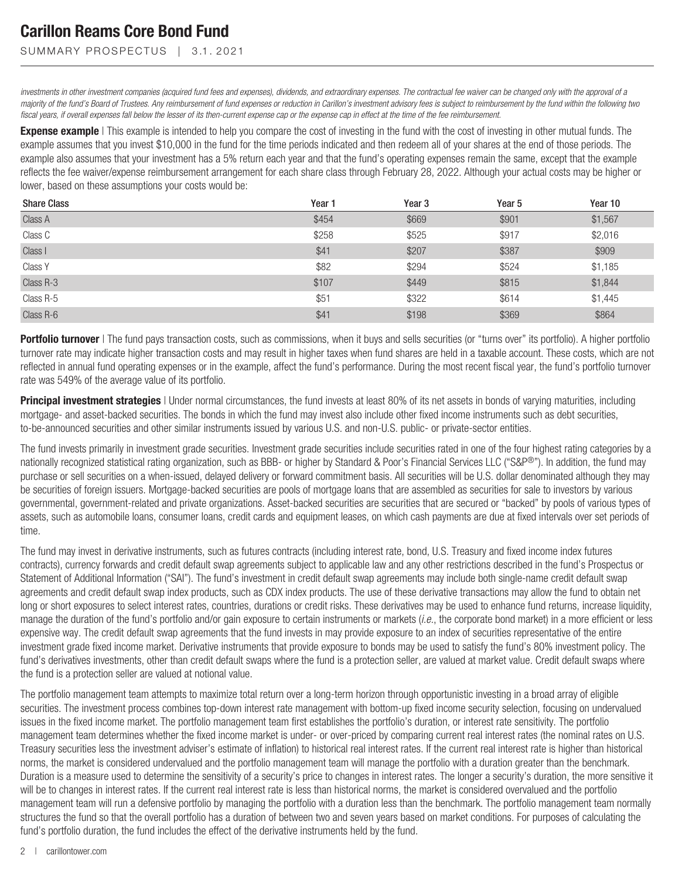SUMMARY PROSPECTUS | 3.1.2021

*investments in other investment companies (acquired fund fees and expenses), dividends, and extraordinary expenses. The contractual fee waiver can be changed only with the approval of a majority of the fund's Board of Trustees. Any reimbursement of fund expenses or reduction in Carillon's investment advisory fees is subject to reimbursement by the fund within the following two fiscal years, if overall expenses fall below the lesser of its then-current expense cap or the expense cap in effect at the time of the fee reimbursement.*

**Expense example** | This example is intended to help you compare the cost of investing in the fund with the cost of investing in other mutual funds. The example assumes that you invest \$10,000 in the fund for the time periods indicated and then redeem all of your shares at the end of those periods. The example also assumes that your investment has a 5% return each year and that the fund's operating expenses remain the same, except that the example reflects the fee waiver/expense reimbursement arrangement for each share class through February 28, 2022. Although your actual costs may be higher or lower, based on these assumptions your costs would be:

| <b>Share Class</b> | Year 1 | Year <sub>3</sub> | Year <sub>5</sub> | Year 10 |
|--------------------|--------|-------------------|-------------------|---------|
| Class A            | \$454  | \$669             | \$901             | \$1,567 |
| Class C            | \$258  | \$525             | \$917             | \$2,016 |
| Class I            | \$41   | \$207             | \$387             | \$909   |
| Class Y            | \$82   | \$294             | \$524             | \$1,185 |
| Class R-3          | \$107  | \$449             | \$815             | \$1,844 |
| Class R-5          | \$51   | \$322             | \$614             | \$1,445 |
| Class R-6          | \$41   | \$198             | \$369             | \$864   |

**Portfolio turnover** | The fund pays transaction costs, such as commissions, when it buys and sells securities (or "turns over" its portfolio). A higher portfolio turnover rate may indicate higher transaction costs and may result in higher taxes when fund shares are held in a taxable account. These costs, which are not reflected in annual fund operating expenses or in the example, affect the fund's performance. During the most recent fiscal year, the fund's portfolio turnover rate was 549% of the average value of its portfolio.

**Principal investment strategies** | Under normal circumstances, the fund invests at least 80% of its net assets in bonds of varying maturities, including mortgage- and asset-backed securities. The bonds in which the fund may invest also include other fixed income instruments such as debt securities, to-be-announced securities and other similar instruments issued by various U.S. and non-U.S. public- or private-sector entities.

The fund invests primarily in investment grade securities. Investment grade securities include securities rated in one of the four highest rating categories by a nationally recognized statistical rating organization, such as BBB- or higher by Standard & Poor's Financial Services LLC ("S&P®"). In addition, the fund may purchase or sell securities on a when-issued, delayed delivery or forward commitment basis. All securities will be U.S. dollar denominated although they may be securities of foreign issuers. Mortgage-backed securities are pools of mortgage loans that are assembled as securities for sale to investors by various governmental, government-related and private organizations. Asset-backed securities are securities that are secured or "backed" by pools of various types of assets, such as automobile loans, consumer loans, credit cards and equipment leases, on which cash payments are due at fixed intervals over set periods of time.

The fund may invest in derivative instruments, such as futures contracts (including interest rate, bond, U.S. Treasury and fixed income index futures contracts), currency forwards and credit default swap agreements subject to applicable law and any other restrictions described in the fund's Prospectus or Statement of Additional Information ("SAI"). The fund's investment in credit default swap agreements may include both single-name credit default swap agreements and credit default swap index products, such as CDX index products. The use of these derivative transactions may allow the fund to obtain net long or short exposures to select interest rates, countries, durations or credit risks. These derivatives may be used to enhance fund returns, increase liquidity, manage the duration of the fund's portfolio and/or gain exposure to certain instruments or markets (*i.e.*, the corporate bond market) in a more efficient or less expensive way. The credit default swap agreements that the fund invests in may provide exposure to an index of securities representative of the entire investment grade fixed income market. Derivative instruments that provide exposure to bonds may be used to satisfy the fund's 80% investment policy. The fund's derivatives investments, other than credit default swaps where the fund is a protection seller, are valued at market value. Credit default swaps where the fund is a protection seller are valued at notional value.

The portfolio management team attempts to maximize total return over a long-term horizon through opportunistic investing in a broad array of eligible securities. The investment process combines top-down interest rate management with bottom-up fixed income security selection, focusing on undervalued issues in the fixed income market. The portfolio management team first establishes the portfolio's duration, or interest rate sensitivity. The portfolio management team determines whether the fixed income market is under- or over-priced by comparing current real interest rates (the nominal rates on U.S. Treasury securities less the investment adviser's estimate of inflation) to historical real interest rates. If the current real interest rate is higher than historical norms, the market is considered undervalued and the portfolio management team will manage the portfolio with a duration greater than the benchmark. Duration is a measure used to determine the sensitivity of a security's price to changes in interest rates. The longer a security's duration, the more sensitive it will be to changes in interest rates. If the current real interest rate is less than historical norms, the market is considered overvalued and the portfolio management team will run a defensive portfolio by managing the portfolio with a duration less than the benchmark. The portfolio management team normally structures the fund so that the overall portfolio has a duration of between two and seven years based on market conditions. For purposes of calculating the fund's portfolio duration, the fund includes the effect of the derivative instruments held by the fund.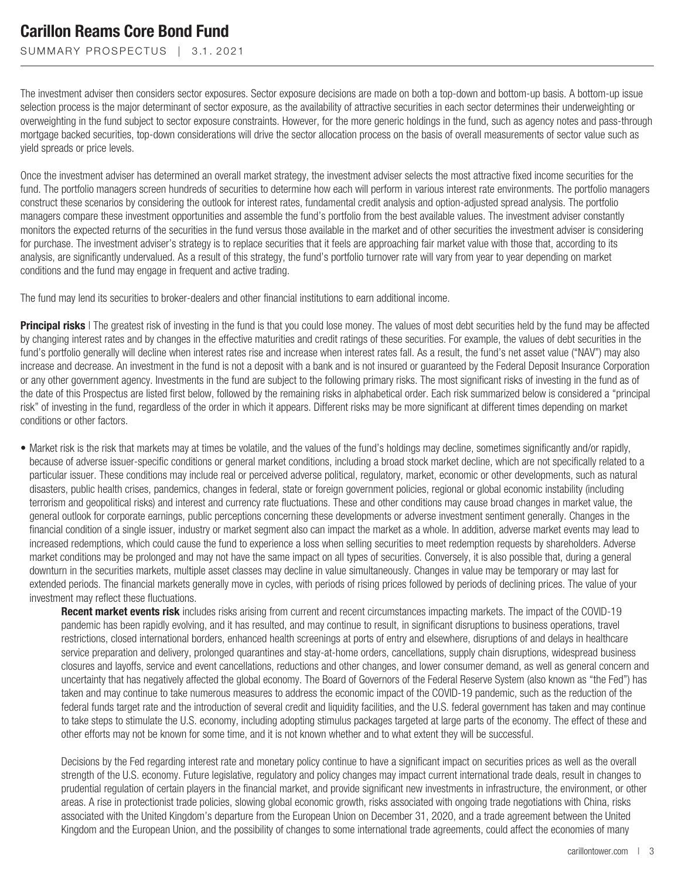SUMMARY PROSPECTUS | 3.1.2021

The investment adviser then considers sector exposures. Sector exposure decisions are made on both a top-down and bottom-up basis. A bottom-up issue selection process is the major determinant of sector exposure, as the availability of attractive securities in each sector determines their underweighting or overweighting in the fund subject to sector exposure constraints. However, for the more generic holdings in the fund, such as agency notes and pass-through mortgage backed securities, top-down considerations will drive the sector allocation process on the basis of overall measurements of sector value such as yield spreads or price levels.

Once the investment adviser has determined an overall market strategy, the investment adviser selects the most attractive fixed income securities for the fund. The portfolio managers screen hundreds of securities to determine how each will perform in various interest rate environments. The portfolio managers construct these scenarios by considering the outlook for interest rates, fundamental credit analysis and option-adjusted spread analysis. The portfolio managers compare these investment opportunities and assemble the fund's portfolio from the best available values. The investment adviser constantly monitors the expected returns of the securities in the fund versus those available in the market and of other securities the investment adviser is considering for purchase. The investment adviser's strategy is to replace securities that it feels are approaching fair market value with those that, according to its analysis, are significantly undervalued. As a result of this strategy, the fund's portfolio turnover rate will vary from year to year depending on market conditions and the fund may engage in frequent and active trading.

The fund may lend its securities to broker-dealers and other financial institutions to earn additional income.

**Principal risks** | The greatest risk of investing in the fund is that you could lose money. The values of most debt securities held by the fund may be affected by changing interest rates and by changes in the effective maturities and credit ratings of these securities. For example, the values of debt securities in the fund's portfolio generally will decline when interest rates rise and increase when interest rates fall. As a result, the fund's net asset value ("NAV") may also increase and decrease. An investment in the fund is not a deposit with a bank and is not insured or guaranteed by the Federal Deposit Insurance Corporation or any other government agency. Investments in the fund are subject to the following primary risks. The most significant risks of investing in the fund as of the date of this Prospectus are listed first below, followed by the remaining risks in alphabetical order. Each risk summarized below is considered a "principal risk" of investing in the fund, regardless of the order in which it appears. Different risks may be more significant at different times depending on market conditions or other factors.

• Market risk is the risk that markets may at times be volatile, and the values of the fund's holdings may decline, sometimes significantly and/or rapidly, because of adverse issuer-specific conditions or general market conditions, including a broad stock market decline, which are not specifically related to a particular issuer. These conditions may include real or perceived adverse political, regulatory, market, economic or other developments, such as natural disasters, public health crises, pandemics, changes in federal, state or foreign government policies, regional or global economic instability (including terrorism and geopolitical risks) and interest and currency rate fluctuations. These and other conditions may cause broad changes in market value, the general outlook for corporate earnings, public perceptions concerning these developments or adverse investment sentiment generally. Changes in the financial condition of a single issuer, industry or market segment also can impact the market as a whole. In addition, adverse market events may lead to increased redemptions, which could cause the fund to experience a loss when selling securities to meet redemption requests by shareholders. Adverse market conditions may be prolonged and may not have the same impact on all types of securities. Conversely, it is also possible that, during a general downturn in the securities markets, multiple asset classes may decline in value simultaneously. Changes in value may be temporary or may last for extended periods. The financial markets generally move in cycles, with periods of rising prices followed by periods of declining prices. The value of your investment may reflect these fluctuations.

**Recent market events risk** includes risks arising from current and recent circumstances impacting markets. The impact of the COVID-19 pandemic has been rapidly evolving, and it has resulted, and may continue to result, in significant disruptions to business operations, travel restrictions, closed international borders, enhanced health screenings at ports of entry and elsewhere, disruptions of and delays in healthcare service preparation and delivery, prolonged quarantines and stay-at-home orders, cancellations, supply chain disruptions, widespread business closures and layoffs, service and event cancellations, reductions and other changes, and lower consumer demand, as well as general concern and uncertainty that has negatively affected the global economy. The Board of Governors of the Federal Reserve System (also known as "the Fed") has taken and may continue to take numerous measures to address the economic impact of the COVID-19 pandemic, such as the reduction of the federal funds target rate and the introduction of several credit and liquidity facilities, and the U.S. federal government has taken and may continue to take steps to stimulate the U.S. economy, including adopting stimulus packages targeted at large parts of the economy. The effect of these and other efforts may not be known for some time, and it is not known whether and to what extent they will be successful.

Decisions by the Fed regarding interest rate and monetary policy continue to have a significant impact on securities prices as well as the overall strength of the U.S. economy. Future legislative, regulatory and policy changes may impact current international trade deals, result in changes to prudential regulation of certain players in the financial market, and provide significant new investments in infrastructure, the environment, or other areas. A rise in protectionist trade policies, slowing global economic growth, risks associated with ongoing trade negotiations with China, risks associated with the United Kingdom's departure from the European Union on December 31, 2020, and a trade agreement between the United Kingdom and the European Union, and the possibility of changes to some international trade agreements, could affect the economies of many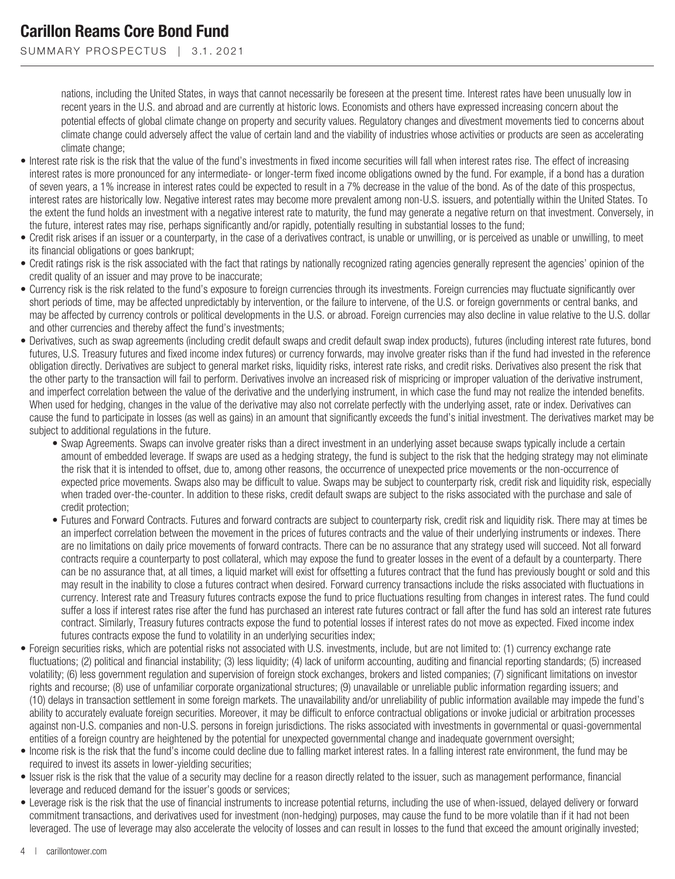SUMMARY PROSPECTUS | 3.1.2021

nations, including the United States, in ways that cannot necessarily be foreseen at the present time. Interest rates have been unusually low in recent years in the U.S. and abroad and are currently at historic lows. Economists and others have expressed increasing concern about the potential effects of global climate change on property and security values. Regulatory changes and divestment movements tied to concerns about climate change could adversely affect the value of certain land and the viability of industries whose activities or products are seen as accelerating climate change;

- Interest rate risk is the risk that the value of the fund's investments in fixed income securities will fall when interest rates rise. The effect of increasing interest rates is more pronounced for any intermediate- or longer-term fixed income obligations owned by the fund. For example, if a bond has a duration of seven years, a 1% increase in interest rates could be expected to result in a 7% decrease in the value of the bond. As of the date of this prospectus, interest rates are historically low. Negative interest rates may become more prevalent among non-U.S. issuers, and potentially within the United States. To the extent the fund holds an investment with a negative interest rate to maturity, the fund may generate a negative return on that investment. Conversely, in the future, interest rates may rise, perhaps significantly and/or rapidly, potentially resulting in substantial losses to the fund;
- Credit risk arises if an issuer or a counterparty, in the case of a derivatives contract, is unable or unwilling, or is perceived as unable or unwilling, to meet its financial obligations or goes bankrupt;
- Credit ratings risk is the risk associated with the fact that ratings by nationally recognized rating agencies generally represent the agencies' opinion of the credit quality of an issuer and may prove to be inaccurate;
- Currency risk is the risk related to the fund's exposure to foreign currencies through its investments. Foreign currencies may fluctuate significantly over short periods of time, may be affected unpredictably by intervention, or the failure to intervene, of the U.S. or foreign governments or central banks, and may be affected by currency controls or political developments in the U.S. or abroad. Foreign currencies may also decline in value relative to the U.S. dollar and other currencies and thereby affect the fund's investments;
- Derivatives, such as swap agreements (including credit default swaps and credit default swap index products), futures (including interest rate futures, bond futures, U.S. Treasury futures and fixed income index futures) or currency forwards, may involve greater risks than if the fund had invested in the reference obligation directly. Derivatives are subject to general market risks, liquidity risks, interest rate risks, and credit risks. Derivatives also present the risk that the other party to the transaction will fail to perform. Derivatives involve an increased risk of mispricing or improper valuation of the derivative instrument, and imperfect correlation between the value of the derivative and the underlying instrument, in which case the fund may not realize the intended benefits. When used for hedging, changes in the value of the derivative may also not correlate perfectly with the underlying asset, rate or index. Derivatives can cause the fund to participate in losses (as well as gains) in an amount that significantly exceeds the fund's initial investment. The derivatives market may be subject to additional regulations in the future.
	- Swap Agreements. Swaps can involve greater risks than a direct investment in an underlying asset because swaps typically include a certain amount of embedded leverage. If swaps are used as a hedging strategy, the fund is subject to the risk that the hedging strategy may not eliminate the risk that it is intended to offset, due to, among other reasons, the occurrence of unexpected price movements or the non-occurrence of expected price movements. Swaps also may be difficult to value. Swaps may be subject to counterparty risk, credit risk and liquidity risk, especially when traded over-the-counter. In addition to these risks, credit default swaps are subject to the risks associated with the purchase and sale of credit protection;
	- Futures and Forward Contracts. Futures and forward contracts are subject to counterparty risk, credit risk and liquidity risk. There may at times be an imperfect correlation between the movement in the prices of futures contracts and the value of their underlying instruments or indexes. There are no limitations on daily price movements of forward contracts. There can be no assurance that any strategy used will succeed. Not all forward contracts require a counterparty to post collateral, which may expose the fund to greater losses in the event of a default by a counterparty. There can be no assurance that, at all times, a liquid market will exist for offsetting a futures contract that the fund has previously bought or sold and this may result in the inability to close a futures contract when desired. Forward currency transactions include the risks associated with fluctuations in currency. Interest rate and Treasury futures contracts expose the fund to price fluctuations resulting from changes in interest rates. The fund could suffer a loss if interest rates rise after the fund has purchased an interest rate futures contract or fall after the fund has sold an interest rate futures contract. Similarly, Treasury futures contracts expose the fund to potential losses if interest rates do not move as expected. Fixed income index futures contracts expose the fund to volatility in an underlying securities index;
- Foreign securities risks, which are potential risks not associated with U.S. investments, include, but are not limited to: (1) currency exchange rate fluctuations; (2) political and financial instability; (3) less liquidity; (4) lack of uniform accounting, auditing and financial reporting standards; (5) increased volatility; (6) less government regulation and supervision of foreign stock exchanges, brokers and listed companies; (7) significant limitations on investor rights and recourse; (8) use of unfamiliar corporate organizational structures; (9) unavailable or unreliable public information regarding issuers; and (10) delays in transaction settlement in some foreign markets. The unavailability and/or unreliability of public information available may impede the fund's ability to accurately evaluate foreign securities. Moreover, it may be difficult to enforce contractual obligations or invoke judicial or arbitration processes against non-U.S. companies and non-U.S. persons in foreign jurisdictions. The risks associated with investments in governmental or quasi-governmental entities of a foreign country are heightened by the potential for unexpected governmental change and inadequate government oversight;
- Income risk is the risk that the fund's income could decline due to falling market interest rates. In a falling interest rate environment, the fund may be required to invest its assets in lower-yielding securities;
- Issuer risk is the risk that the value of a security may decline for a reason directly related to the issuer, such as management performance, financial leverage and reduced demand for the issuer's goods or services;
- Leverage risk is the risk that the use of financial instruments to increase potential returns, including the use of when-issued, delayed delivery or forward commitment transactions, and derivatives used for investment (non-hedging) purposes, may cause the fund to be more volatile than if it had not been leveraged. The use of leverage may also accelerate the velocity of losses and can result in losses to the fund that exceed the amount originally invested;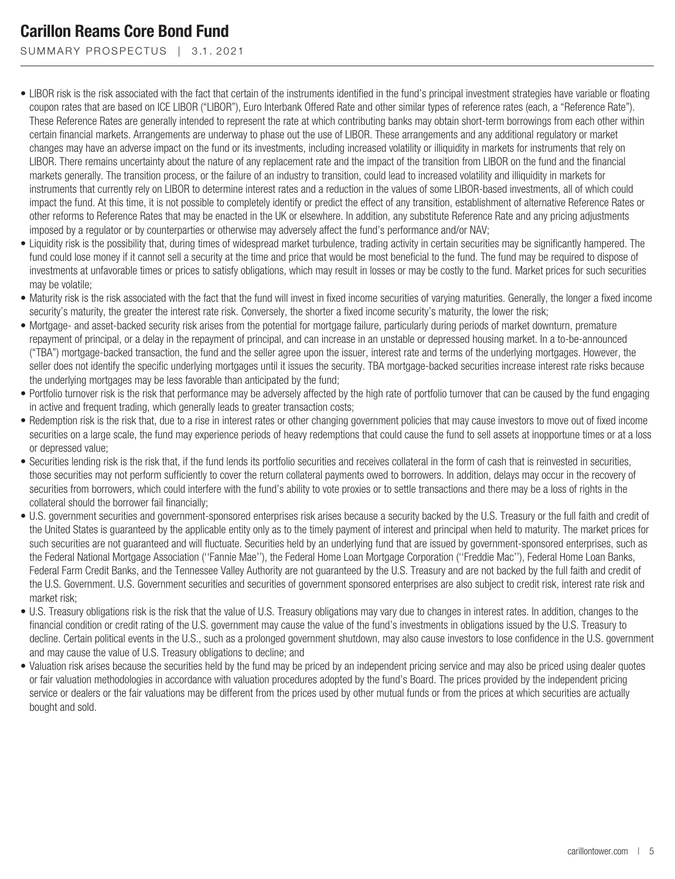SUMMARY PROSPECTUS | 3.1.2021

- LIBOR risk is the risk associated with the fact that certain of the instruments identified in the fund's principal investment strategies have variable or floating coupon rates that are based on ICE LIBOR ("LIBOR"), Euro Interbank Offered Rate and other similar types of reference rates (each, a "Reference Rate"). These Reference Rates are generally intended to represent the rate at which contributing banks may obtain short-term borrowings from each other within certain financial markets. Arrangements are underway to phase out the use of LIBOR. These arrangements and any additional regulatory or market changes may have an adverse impact on the fund or its investments, including increased volatility or illiquidity in markets for instruments that rely on LIBOR. There remains uncertainty about the nature of any replacement rate and the impact of the transition from LIBOR on the fund and the financial markets generally. The transition process, or the failure of an industry to transition, could lead to increased volatility and illiquidity in markets for instruments that currently rely on LIBOR to determine interest rates and a reduction in the values of some LIBOR-based investments, all of which could impact the fund. At this time, it is not possible to completely identify or predict the effect of any transition, establishment of alternative Reference Rates or other reforms to Reference Rates that may be enacted in the UK or elsewhere. In addition, any substitute Reference Rate and any pricing adjustments imposed by a regulator or by counterparties or otherwise may adversely affect the fund's performance and/or NAV;
- Liquidity risk is the possibility that, during times of widespread market turbulence, trading activity in certain securities may be significantly hampered. The fund could lose money if it cannot sell a security at the time and price that would be most beneficial to the fund. The fund may be required to dispose of investments at unfavorable times or prices to satisfy obligations, which may result in losses or may be costly to the fund. Market prices for such securities may be volatile;
- Maturity risk is the risk associated with the fact that the fund will invest in fixed income securities of varying maturities. Generally, the longer a fixed income security's maturity, the greater the interest rate risk. Conversely, the shorter a fixed income security's maturity, the lower the risk;
- Mortgage- and asset-backed security risk arises from the potential for mortgage failure, particularly during periods of market downturn, premature repayment of principal, or a delay in the repayment of principal, and can increase in an unstable or depressed housing market. In a to-be-announced ("TBA") mortgage-backed transaction, the fund and the seller agree upon the issuer, interest rate and terms of the underlying mortgages. However, the seller does not identify the specific underlying mortgages until it issues the security. TBA mortgage-backed securities increase interest rate risks because the underlying mortgages may be less favorable than anticipated by the fund;
- Portfolio turnover risk is the risk that performance may be adversely affected by the high rate of portfolio turnover that can be caused by the fund engaging in active and frequent trading, which generally leads to greater transaction costs;
- Redemption risk is the risk that, due to a rise in interest rates or other changing government policies that may cause investors to move out of fixed income securities on a large scale, the fund may experience periods of heavy redemptions that could cause the fund to sell assets at inopportune times or at a loss or depressed value;
- Securities lending risk is the risk that, if the fund lends its portfolio securities and receives collateral in the form of cash that is reinvested in securities, those securities may not perform sufficiently to cover the return collateral payments owed to borrowers. In addition, delays may occur in the recovery of securities from borrowers, which could interfere with the fund's ability to vote proxies or to settle transactions and there may be a loss of rights in the collateral should the borrower fail financially;
- U.S. government securities and government-sponsored enterprises risk arises because a security backed by the U.S. Treasury or the full faith and credit of the United States is guaranteed by the applicable entity only as to the timely payment of interest and principal when held to maturity. The market prices for such securities are not guaranteed and will fluctuate. Securities held by an underlying fund that are issued by government-sponsored enterprises, such as the Federal National Mortgage Association (''Fannie Mae''), the Federal Home Loan Mortgage Corporation (''Freddie Mac''), Federal Home Loan Banks, Federal Farm Credit Banks, and the Tennessee Valley Authority are not guaranteed by the U.S. Treasury and are not backed by the full faith and credit of the U.S. Government. U.S. Government securities and securities of government sponsored enterprises are also subject to credit risk, interest rate risk and market risk;
- U.S. Treasury obligations risk is the risk that the value of U.S. Treasury obligations may vary due to changes in interest rates. In addition, changes to the financial condition or credit rating of the U.S. government may cause the value of the fund's investments in obligations issued by the U.S. Treasury to decline. Certain political events in the U.S., such as a prolonged government shutdown, may also cause investors to lose confidence in the U.S. government and may cause the value of U.S. Treasury obligations to decline; and
- Valuation risk arises because the securities held by the fund may be priced by an independent pricing service and may also be priced using dealer quotes or fair valuation methodologies in accordance with valuation procedures adopted by the fund's Board. The prices provided by the independent pricing service or dealers or the fair valuations may be different from the prices used by other mutual funds or from the prices at which securities are actually bought and sold.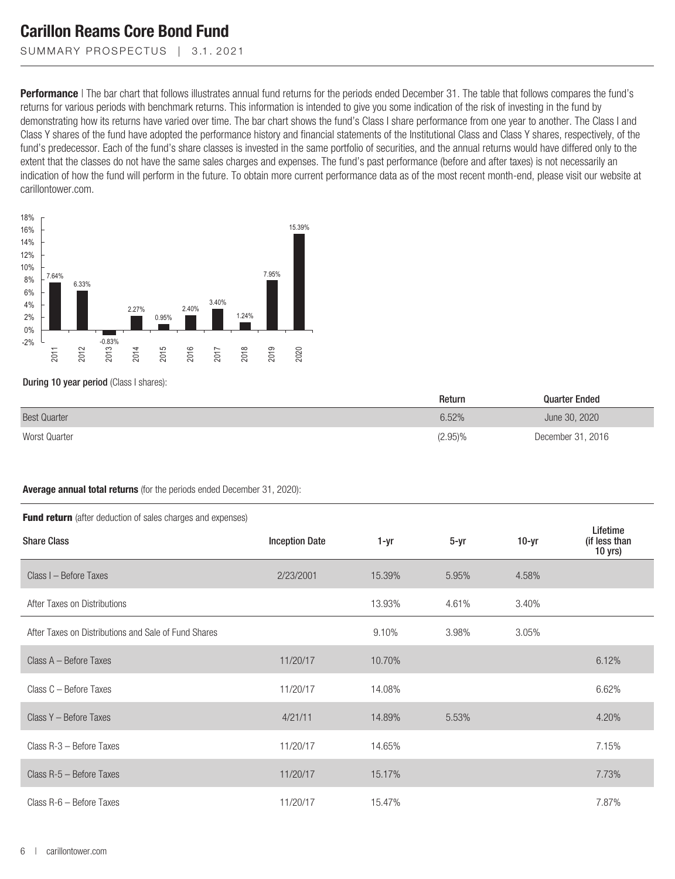SUMMARY PROSPECTUS | 3.1.2021

**Performance** | The bar chart that follows illustrates annual fund returns for the periods ended December 31. The table that follows compares the fund's returns for various periods with benchmark returns. This information is intended to give you some indication of the risk of investing in the fund by demonstrating how its returns have varied over time. The bar chart shows the fund's Class I share performance from one year to another. The Class I and Class Y shares of the fund have adopted the performance history and financial statements of the Institutional Class and Class Y shares, respectively, of the fund's predecessor. Each of the fund's share classes is invested in the same portfolio of securities, and the annual returns would have differed only to the extent that the classes do not have the same sales charges and expenses. The fund's past performance (before and after taxes) is not necessarily an indication of how the fund will perform in the future. To obtain more current performance data as of the most recent month-end, please visit our website at carillontower.com.



#### During 10 year period (Class I shares):

|                     | Return     | Quarter Ended     |
|---------------------|------------|-------------------|
| <b>Best Quarter</b> | 6.52%      | June 30, 2020     |
| Worst Quarter       | $(2.95)\%$ | December 31, 2016 |

#### **Average annual total returns** (for the periods ended December 31, 2020):

| <b>Fund return</b> (after deduction of sales charges and expenses) |                       |        |          |         |                                        |  |  |  |
|--------------------------------------------------------------------|-----------------------|--------|----------|---------|----------------------------------------|--|--|--|
| <b>Share Class</b>                                                 | <b>Inception Date</b> | 1-yr   | $5 - yr$ | $10-yr$ | Lifetime<br>(if less than<br>$10$ yrs) |  |  |  |
| Class I - Before Taxes                                             | 2/23/2001             | 15.39% | 5.95%    | 4.58%   |                                        |  |  |  |
| After Taxes on Distributions                                       |                       | 13.93% | 4.61%    | 3.40%   |                                        |  |  |  |
| After Taxes on Distributions and Sale of Fund Shares               |                       | 9.10%  | 3.98%    | 3.05%   |                                        |  |  |  |
| Class A - Before Taxes                                             | 11/20/17              | 10.70% |          |         | 6.12%                                  |  |  |  |
| Class C - Before Taxes                                             | 11/20/17              | 14.08% |          |         | 6.62%                                  |  |  |  |
| Class Y - Before Taxes                                             | 4/21/11               | 14.89% | 5.53%    |         | 4.20%                                  |  |  |  |
| Class R-3 - Before Taxes                                           | 11/20/17              | 14.65% |          |         | 7.15%                                  |  |  |  |
| Class R-5 - Before Taxes                                           | 11/20/17              | 15.17% |          |         | 7.73%                                  |  |  |  |
| Class R-6 - Before Taxes                                           | 11/20/17              | 15.47% |          |         | 7.87%                                  |  |  |  |